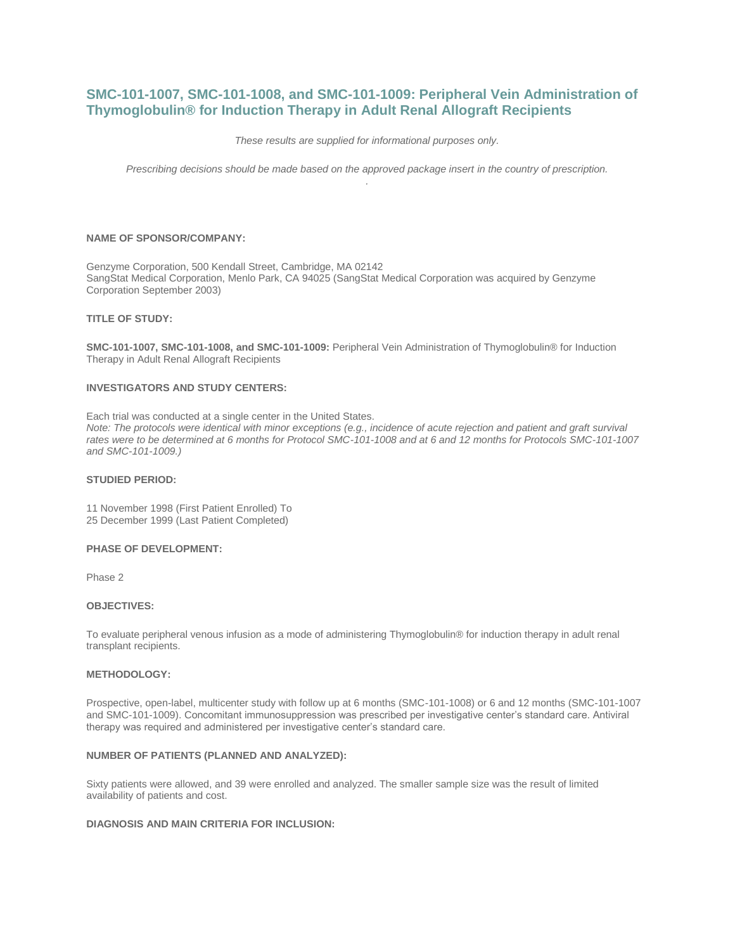# **SMC-101-1007, SMC-101-1008, and SMC-101-1009: Peripheral Vein Administration of Thymoglobulin® for Induction Therapy in Adult Renal Allograft Recipients**

*These results are supplied for informational purposes only.*

*Prescribing decisions should be made based on the approved package insert in the country of prescription. .*

## **NAME OF SPONSOR/COMPANY:**

Genzyme Corporation, 500 Kendall Street, Cambridge, MA 02142 SangStat Medical Corporation, Menlo Park, CA 94025 (SangStat Medical Corporation was acquired by Genzyme Corporation September 2003)

# **TITLE OF STUDY:**

**SMC-101-1007, SMC-101-1008, and SMC-101-1009:** Peripheral Vein Administration of Thymoglobulin® for Induction Therapy in Adult Renal Allograft Recipients

## **INVESTIGATORS AND STUDY CENTERS:**

Each trial was conducted at a single center in the United States. *Note: The protocols were identical with minor exceptions (e.g., incidence of acute rejection and patient and graft survival rates were to be determined at 6 months for Protocol SMC-101-1008 and at 6 and 12 months for Protocols SMC-101-1007 and SMC-101-1009.)*

#### **STUDIED PERIOD:**

11 November 1998 (First Patient Enrolled) To 25 December 1999 (Last Patient Completed)

#### **PHASE OF DEVELOPMENT:**

Phase 2

#### **OBJECTIVES:**

To evaluate peripheral venous infusion as a mode of administering Thymoglobulin® for induction therapy in adult renal transplant recipients.

#### **METHODOLOGY:**

Prospective, open-label, multicenter study with follow up at 6 months (SMC-101-1008) or 6 and 12 months (SMC-101-1007 and SMC-101-1009). Concomitant immunosuppression was prescribed per investigative center's standard care. Antiviral therapy was required and administered per investigative center's standard care.

# **NUMBER OF PATIENTS (PLANNED AND ANALYZED):**

Sixty patients were allowed, and 39 were enrolled and analyzed. The smaller sample size was the result of limited availability of patients and cost.

# **DIAGNOSIS AND MAIN CRITERIA FOR INCLUSION:**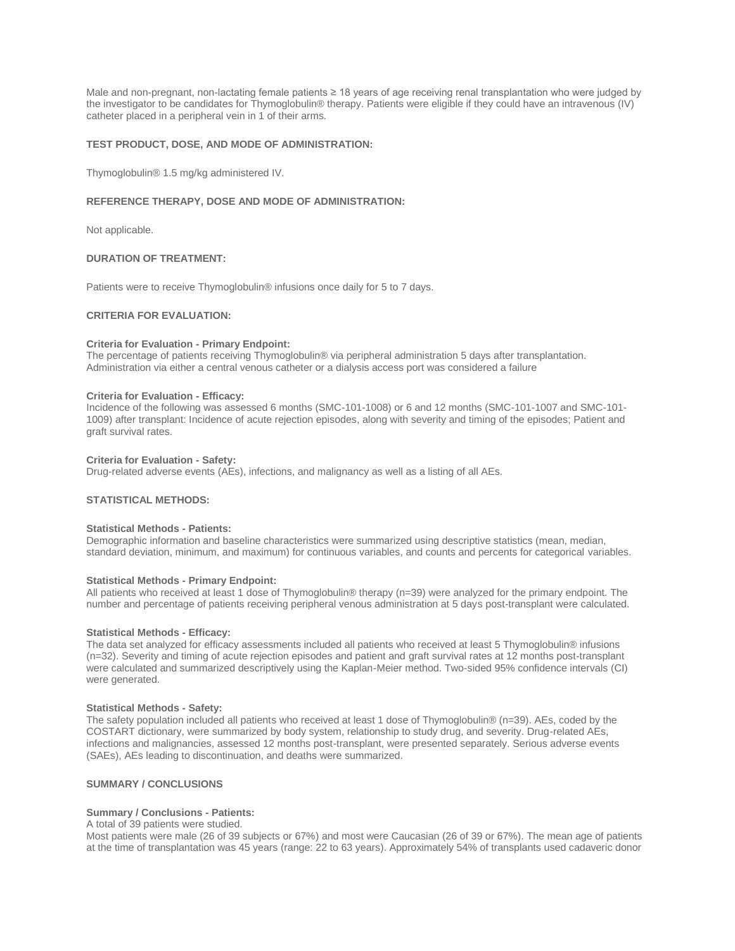Male and non-pregnant, non-lactating female patients ≥ 18 years of age receiving renal transplantation who were judged by the investigator to be candidates for Thymoglobulin® therapy. Patients were eligible if they could have an intravenous (IV) catheter placed in a peripheral vein in 1 of their arms.

# **TEST PRODUCT, DOSE, AND MODE OF ADMINISTRATION:**

Thymoglobulin® 1.5 mg/kg administered IV.

# **REFERENCE THERAPY, DOSE AND MODE OF ADMINISTRATION:**

Not applicable.

# **DURATION OF TREATMENT:**

Patients were to receive Thymoglobulin® infusions once daily for 5 to 7 days.

# **CRITERIA FOR EVALUATION:**

## **Criteria for Evaluation - Primary Endpoint:**

The percentage of patients receiving Thymoglobulin® via peripheral administration 5 days after transplantation. Administration via either a central venous catheter or a dialysis access port was considered a failure

#### **Criteria for Evaluation - Efficacy:**

Incidence of the following was assessed 6 months (SMC-101-1008) or 6 and 12 months (SMC-101-1007 and SMC-101- 1009) after transplant: Incidence of acute rejection episodes, along with severity and timing of the episodes; Patient and graft survival rates.

#### **Criteria for Evaluation - Safety:**

Drug-related adverse events (AEs), infections, and malignancy as well as a listing of all AEs.

# **STATISTICAL METHODS:**

#### **Statistical Methods - Patients:**

Demographic information and baseline characteristics were summarized using descriptive statistics (mean, median, standard deviation, minimum, and maximum) for continuous variables, and counts and percents for categorical variables.

#### **Statistical Methods - Primary Endpoint:**

All patients who received at least 1 dose of Thymoglobulin® therapy (n=39) were analyzed for the primary endpoint. The number and percentage of patients receiving peripheral venous administration at 5 days post-transplant were calculated.

#### **Statistical Methods - Efficacy:**

The data set analyzed for efficacy assessments included all patients who received at least 5 Thymoglobulin® infusions (n=32). Severity and timing of acute rejection episodes and patient and graft survival rates at 12 months post-transplant were calculated and summarized descriptively using the Kaplan-Meier method. Two-sided 95% confidence intervals (CI) were generated.

#### **Statistical Methods - Safety:**

The safety population included all patients who received at least 1 dose of Thymoglobulin® (n=39). AEs, coded by the COSTART dictionary, were summarized by body system, relationship to study drug, and severity. Drug-related AEs, infections and malignancies, assessed 12 months post-transplant, were presented separately. Serious adverse events (SAEs), AEs leading to discontinuation, and deaths were summarized.

# **SUMMARY / CONCLUSIONS**

# **Summary / Conclusions - Patients:**

# A total of 39 patients were studied.

Most patients were male (26 of 39 subjects or 67%) and most were Caucasian (26 of 39 or 67%). The mean age of patients at the time of transplantation was 45 years (range: 22 to 63 years). Approximately 54% of transplants used cadaveric donor